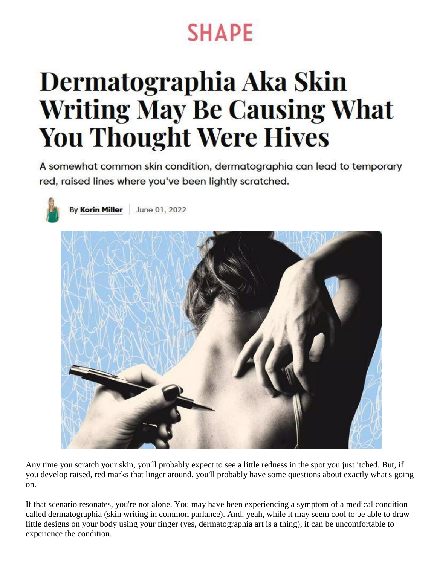## **SHAPE**

# Dermatographia Aka Skin **Writing May Be Causing What You Thought Were Hives**

A somewhat common skin condition, dermatographia can lead to temporary red, raised lines where you've been lightly scratched.



**By Korin Miller** June 01, 2022



Any time you scratch your skin, you'll probably expect to see a little redness in the spot you just itched. But, if you develop raised, red marks that linger around, you'll probably have some questions about exactly what's going on.

If that scenario resonates, you're not alone. You may have been experiencing a symptom of a medical condition called dermatographia (skin writing in common parlance). And, yeah, while it may seem cool to be able to draw little designs on your body using your finger (yes, dermatographia art is a thing), it can be uncomfortable to experience the condition.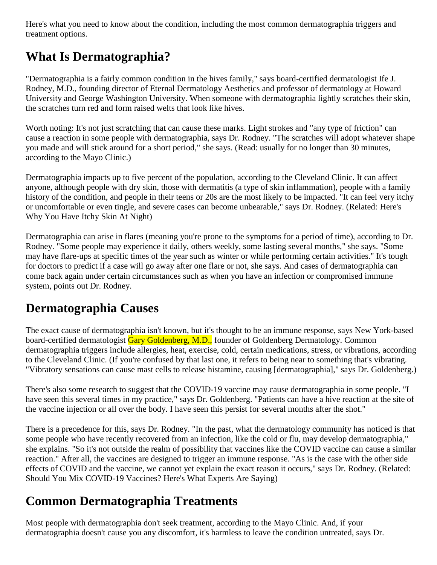Here's what you need to know about the condition, including the most common dermatographia triggers and treatment options.

### **What Is Dermatographia?**

"Dermatographia is a fairly common condition in the hives family," says board-certified dermatologist Ife J. Rodney, M.D., founding director of Eternal Dermatology Aesthetics and professor of dermatology at Howard University and George Washington University. When someone with dermatographia lightly scratches their skin, the scratches turn red and form raised welts that look like hives.

Worth noting: It's not just scratching that can cause these marks. Light strokes and "any type of friction" can cause a reaction in some people with dermatographia, says Dr. Rodney. "The scratches will adopt whatever shape you made and will stick around for a short period," she says. (Read: usually for no longer than 30 minutes, according to the Mayo Clinic.)

Dermatographia impacts up to five percent of the population, according to the Cleveland Clinic. It can affect anyone, although people with dry skin, those with dermatitis (a type of skin inflammation), people with a family history of the condition, and people in their teens or 20s are the most likely to be impacted. "It can feel very itchy or uncomfortable or even tingle, and severe cases can become unbearable," says Dr. Rodney. (Related: Here's Why You Have Itchy Skin At Night)

Dermatographia can arise in flares (meaning you're prone to the symptoms for a period of time), according to Dr. Rodney. "Some people may experience it daily, others weekly, some lasting several months," she says. "Some may have flare-ups at specific times of the year such as winter or while performing certain activities." It's tough for doctors to predict if a case will go away after one flare or not, she says. And cases of dermatographia can come back again under certain circumstances such as when you have an infection or compromised immune system, points out Dr. Rodney.

#### **Dermatographia Causes**

The exact cause of dermatographia isn't known, but it's thought to be an immune response, says New York-based board-certified dermatologist Gary Goldenberg, M.D., founder of Goldenberg Dermatology. Common dermatographia triggers include allergies, heat, exercise, cold, certain medications, stress, or vibrations, according to the Cleveland Clinic. (If you're confused by that last one, it refers to being near to something that's vibrating. "Vibratory sensations can cause mast cells to release histamine, causing [dermatographia]," says Dr. Goldenberg.)

There's also some research to suggest that the COVID-19 vaccine may cause dermatographia in some people. "I have seen this several times in my practice," says Dr. Goldenberg. "Patients can have a hive reaction at the site of the vaccine injection or all over the body. I have seen this persist for several months after the shot."

There is a precedence for this, says Dr. Rodney. "In the past, what the dermatology community has noticed is that some people who have recently recovered from an infection, like the cold or flu, may develop dermatographia," she explains. "So it's not outside the realm of possibility that vaccines like the COVID vaccine can cause a similar reaction." After all, the vaccines are designed to trigger an immune response. "As is the case with the other side effects of COVID and the vaccine, we cannot yet explain the exact reason it occurs," says Dr. Rodney. (Related: Should You Mix COVID-19 Vaccines? Here's What Experts Are Saying)

#### **Common Dermatographia Treatments**

Most people with dermatographia don't seek treatment, according to the Mayo Clinic. And, if your dermatographia doesn't cause you any discomfort, it's harmless to leave the condition untreated, says Dr.